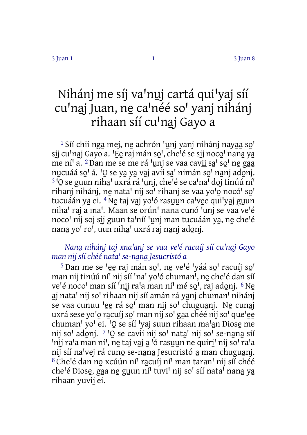# Nihánj me síj va'nuj cartá qui'yaj síí cu'naj Juan, ne ca'néé so' yanj nihánj rihaan síí cu'naj Gayo a

 $1$  Síí chii nga mej, ne achrón 'unj yanj nihánj nayaa so' sij cu<sup>l</sup>naj Gayo a. <sup>'</sup>Ee raj mán so', che<sup>l</sup>é se sij noco' nana ya me ní<sup>'</sup> a. <sup>2</sup> Dan me se me rá <sup>'</sup>unj se vaa cavii sa' so' ne gaa nucuáá so<sup>1</sup> á. <sup>1</sup>O se ya ya vaj avii sa<sup>1</sup> nimán so<sup>1</sup> nanj adonj. <sup>3</sup> 'O se guun niha' uxrá rá 'uni, che'é se ca'na' doi tinúú ní<sup>1</sup> rihanj nihánj, ne nata' nij so' rihanj se vaa yo'o nocó' so' tucuáán ya ei. <sup>4</sup> Ne taj vaj yo<sup>l</sup>ó rasuun ca<sup>l</sup>vee qui<sup>l</sup>yaj guun niha' raj a ma'. Maan se orún' nana cunó 'unj se vaa ve'é noco' nij soj sij guun ta'níí 'unj man tucuáán ya, ne che'é nana yo<sup>i</sup> ro<sup>i</sup>, uun niha' uxrá raj nanj adonj.

## *Nana̱nihánj taj xnaꞌanj se vaa veꞌé racuíj síí cuꞌna̱j Gayo man nij síí chéé nataꞌ se‑na̱na̱Jesucristó a*

<sup>5</sup> Dan me se <sup>l</sup>ee raj mán so<sup>l</sup>, ne ve<sup>l</sup>é <sup>l</sup>váá so<sup>l</sup> racuíj so<sup>l</sup> man nij tinúú ní<sup>1</sup> nij síí 'na' yo'ó chuman', ne che'é dan síí ve<sup>l</sup>é noco<sup>l</sup> man síí <sup>i</sup>nij ra'a man ní<sup>l</sup> mé so', raj adonj. <sup>6</sup> Ne aj nata' nij so' rihaan nij síí amán rá yanj chuman' nihánj se vaa cunuu 'ee rá so' man nij so' chuguanj. Ne cunaj uxrá sese yo<sup>l</sup>o racuíj so<sup>l</sup> man nij so<sup>l</sup> gaa chéé nij sol quelee chuman' yo' ei. 'O se síí 'yaj suun rihaan ma'an Diose me nij so' adonj. 7 'O se cavii nij so' nata' nij so' se-nana síí 'nii ra'a man ní', ne taj vaj a <sup>j</sup>ó rasuun ne quiri' nij so' ra'a nij síí na<sup>l</sup>vej rá cuno se-nana Jesucristó a man chuguanj. 8 Che'é dan no xcúún ní<sup>1</sup> racuíj ní<sup>1</sup> man taran' nij síí chéé che'é Diose, gaa ne guun ní<sup>†</sup> tuvi' nij so' síí nata<sup>i</sup> nana ya rihaan yuvii ̱ei.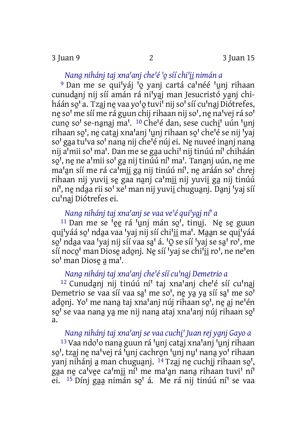*Nana̱nihánj taj xnaꞌanj cheꞌé ꞌo̱síí chiꞌi̱i̱nimán a*

<sup>9</sup> Dan me se qui'yáj <sup>'</sup>o yanj cartá ca'néé 'unj rihaan cunudani nij síí amán rá ni<sup>l</sup>yaj man Jesucristó yanj chiháán so'a. Tzaj ne vaa yo'o tuvi' nij so' síí cu'naj Diótrefes, ne so' me síí me rá guun chij rihaan nij so', ne na'vej rá so' cuno so' se-nanaj ma'. <sup>10</sup> Che'é dan, sese cuchi' uún 'uni rihaan so', ne cataj xna'anj 'unj rihaan so' che'é se nij 'yaj so' gaa tu'va so' nana nij che'é núj ei. Ne nuveé inanj nana nij a'mii so' ma'. Dan me se gaa uchi' nij tinúú ní' chiháán so<sup>i</sup>, ne ne a<sup>i</sup>mii so<sup>i</sup> ga nij tinúú ní<sup>i</sup> ma'. Tananj uún, ne me ma'an síí me rá ca<sup>i</sup>mii ga nij tinúú ní', ne aráán so' chrej rihaan nij yuvii se gaa nanj ca'mii nij yuvii ga nij tinúú ní<sup>'</sup>, ne ndaa rii so' xe' man nij yuvii chuguanj. Danj 'yaj síí cu<sup>'</sup>nai Diótrefes ei.

## *Nana̱nihánj taj xnaꞌanj se vaa veꞌé quiꞌya̱j níꞌ a*

 $11$  Dan me se  $^1$ ee rá  $^1$ unj mán so $^1$ , tinuj. Ne se guun qui 'yáá so' ndaa vaa 'yaj nij síí chi'ii ma'. Maan se qui 'yáá so' ndaa vaa 'vai nij síí vaa sa' á. 'O se síí 'vai se sa' ro', me síí noco' man Diose adonj. Ne síí 'yaj se chi'ii ro', ne ne'en so<sup>'</sup> man Diose a ma'.

## *Nana̱nihánj taj xnaꞌanj cheꞌé síí cuꞌna̱j Demetrio a*

<sup>12</sup> Cunudanj nij tinúú ní<sup>1</sup> taj xna<sup>l</sup>anj che<sup>l</sup>é síí cu<sup>l</sup>naj Demetrio se vaa síí vaa sa' me so', ne ya ya síí sa' me so' adonj. Yo' me nana taj xna'anj núj rihaan so', ne aj ne'én so<sup>'</sup> se vaa nana ya me nij nana ataj xna'anj núj rihaan so' a.

### *Nana̱nihánj taj xnaꞌanj se vaa cuchi̱ꞌ Juan rej ya̱nj Gayo a*

<sup>13</sup> Vaa ndo'o nana guun rá <sup>I</sup>unj cataj xna'anj 'unj rihaan so', tzaj ne na'vej rá <sup>J</sup>unj cachron 'unj nu' nana yo' rihaan vanj nihánj a man chuguanj. <sup>14</sup> Tzaj ne cuchij rihaan so<sup>'</sup>, gaa ne ca'vee ca'mii ní' me ma'an nana rihaan tuvi' ní' ei. <sup>15</sup> Dínj gaa nimán so<sup>l</sup> á. Me rá nij tinúú ní<sup>l</sup> se vaa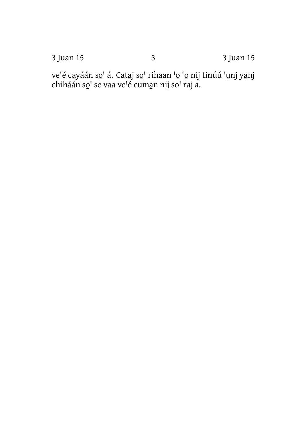3 Juan 15

ve'é cayáán so' á. Cataj so' rihaan 'o 'o nij tinúú 'unj yanj chiháán so' se vaa ve'é cuman nij so' raj a.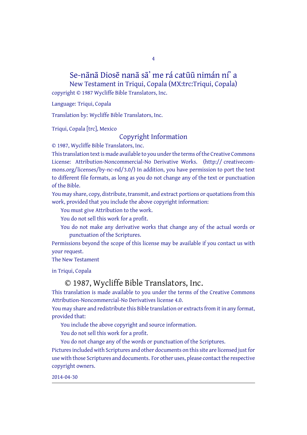## Se-nānā Diosē nanā sā' me rá catūū nimán ní' a

4

New Testament in Triqui, Copala (MX:trc:Triqui, Copala)

copyright © 1987 Wycliffe Bible Translators, Inc.

Language: Triqui, Copala

Translation by: Wycliffe Bible Translators, Inc.

Triqui, Copala [trc], Mexico

#### Copyright Information

© 1987, Wycliffe Bible Translators, Inc.

This translation text is made available to you under the terms of the Creative [Commons](http://creativecommons.org/licenses/by-nc-nd/4.0/) License: Attribution-Noncommercial-No Derivative Works. (http:// creativecommons.org/licenses/by-nc-nd/3.0/) In addition, you have permission to port the text to different file formats, as long as you do not change any of the text or punctuation of the Bible.

You may share, copy, distribute, transmit, and extract portions or quotations from this work, provided that you include the above copyright information:

You must give Attribution to the work.

You do not sell this work for a profit.

You do not make any derivative works that change any of the actual words or punctuation of the Scriptures.

Permissions beyond the scope of this license may be available if you contact us with your request.

The New Testament

in Triqui, Copala

#### © 1987, Wycliffe Bible Translators, Inc.

This translation is made available to you under the terms of the Creative Commons Attribution-Noncommercial-No Derivatives license 4.0.

You may share and redistribute this Bible translation or extracts from it in any format, provided that:

You include the above copyright and source information.

You do not sell this work for a profit.

You do not change any of the words or punctuation of the Scriptures.

Pictures included with Scriptures and other documents on this site are licensed just for use with those Scriptures and documents. For other uses, please contact the respective copyright owners.

2014-04-30